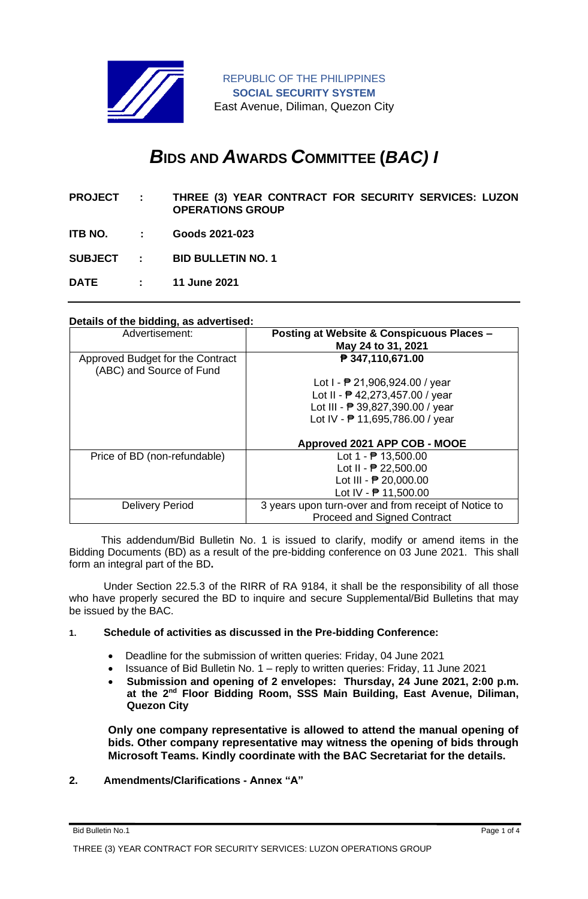

REPUBLIC OF THE PHILIPPINES **SOCIAL SECURITY SYSTEM** East Avenue, Diliman, Quezon City

# *B***IDS AND** *A***WARDS** *C***OMMITTEE (***BAC) I*

- **PROJECT : THREE (3) YEAR CONTRACT FOR SECURITY SERVICES: LUZON OPERATIONS GROUP**
- **ITB NO. : Goods 2021-023**

**SUBJECT : BID BULLETIN NO. 1**

**DATE : 11 June 2021**

### **Details of the bidding, as advertised:**

| Advertisement:                                               | Posting at Website & Conspicuous Places -<br>May 24 to 31, 2021 |
|--------------------------------------------------------------|-----------------------------------------------------------------|
| Approved Budget for the Contract<br>(ABC) and Source of Fund | ₱ 347,110,671.00                                                |
|                                                              | Lot $I - P 21,906,924.00 / year$                                |
|                                                              | Lot II - $P$ 42,273,457.00 / year                               |
|                                                              | Lot III - ₱ 39,827,390.00 / year                                |
|                                                              | Lot IV - $\overline{P}$ 11,695,786.00 / year                    |
|                                                              |                                                                 |
|                                                              | Approved 2021 APP COB - MOOE                                    |
| Price of BD (non-refundable)                                 | Lot $1 - 1 = 13,500.00$                                         |
|                                                              | Lot II - $\overline{P}$ 22,500.00                               |
|                                                              | Lot III - $P$ 20,000.00                                         |
|                                                              | Lot IV - $\overline{P}$ 11,500.00                               |
| <b>Delivery Period</b>                                       | 3 years upon turn-over and from receipt of Notice to            |
|                                                              | <b>Proceed and Signed Contract</b>                              |

 This addendum/Bid Bulletin No. 1 is issued to clarify, modify or amend items in the Bidding Documents (BD) as a result of the pre-bidding conference on 03 June 2021. This shall form an integral part of the BD**.**

Under Section 22.5.3 of the RIRR of RA 9184, it shall be the responsibility of all those who have properly secured the BD to inquire and secure Supplemental/Bid Bulletins that may be issued by the BAC.

### **1. Schedule of activities as discussed in the Pre-bidding Conference:**

- Deadline for the submission of written queries: Friday, 04 June 2021
- Issuance of Bid Bulletin No. 1 reply to written queries: Friday, 11 June 2021
- **Submission and opening of 2 envelopes: Thursday, 24 June 2021, 2:00 p.m. at the 2nd Floor Bidding Room, SSS Main Building, East Avenue, Diliman, Quezon City**

**Only one company representative is allowed to attend the manual opening of bids. Other company representative may witness the opening of bids through Microsoft Teams. Kindly coordinate with the BAC Secretariat for the details.**

## **2. Amendments/Clarifications - Annex "A"**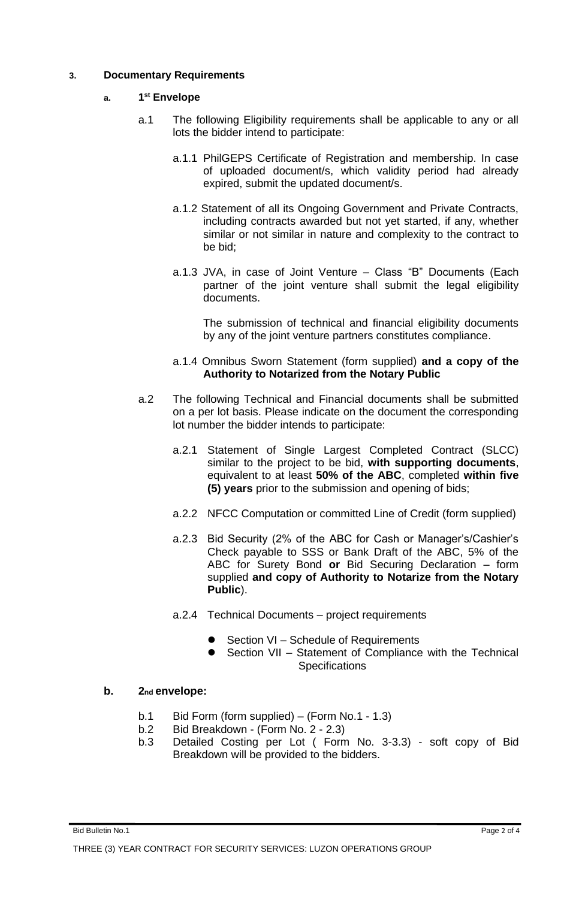## **3. Documentary Requirements**

#### **a. 1 st Envelope**

- a.1 The following Eligibility requirements shall be applicable to any or all lots the bidder intend to participate:
	- a.1.1 PhilGEPS Certificate of Registration and membership. In case of uploaded document/s, which validity period had already expired, submit the updated document/s.
	- a.1.2 Statement of all its Ongoing Government and Private Contracts, including contracts awarded but not yet started, if any, whether similar or not similar in nature and complexity to the contract to be bid;
	- a.1.3 JVA, in case of Joint Venture Class "B" Documents (Each partner of the joint venture shall submit the legal eligibility documents.

The submission of technical and financial eligibility documents by any of the joint venture partners constitutes compliance.

### a.1.4 Omnibus Sworn Statement (form supplied) **and a copy of the Authority to Notarized from the Notary Public**

- a.2 The following Technical and Financial documents shall be submitted on a per lot basis. Please indicate on the document the corresponding lot number the bidder intends to participate:
	- a.2.1 Statement of Single Largest Completed Contract (SLCC) similar to the project to be bid, **with supporting documents**, equivalent to at least **50% of the ABC**, completed **within five (5) years** prior to the submission and opening of bids;
	- a.2.2 NFCC Computation or committed Line of Credit (form supplied)
	- a.2.3 Bid Security (2% of the ABC for Cash or Manager's/Cashier's Check payable to SSS or Bank Draft of the ABC, 5% of the ABC for Surety Bond **or** Bid Securing Declaration – form supplied **and copy of Authority to Notarize from the Notary Public**).
	- a.2.4 Technical Documents project requirements
		- Section VI Schedule of Requirements
		- Section VII Statement of Compliance with the Technical **Specifications**

## **b. 2nd envelope:**

- b.1 Bid Form (form supplied) (Form No.1 1.3)
- b.2 Bid Breakdown (Form No. 2 2.3)
- b.3 Detailed Costing per Lot ( Form No. 3-3.3) soft copy of Bid Breakdown will be provided to the bidders.

### Bid Bulletin No.1 Page 2 of 4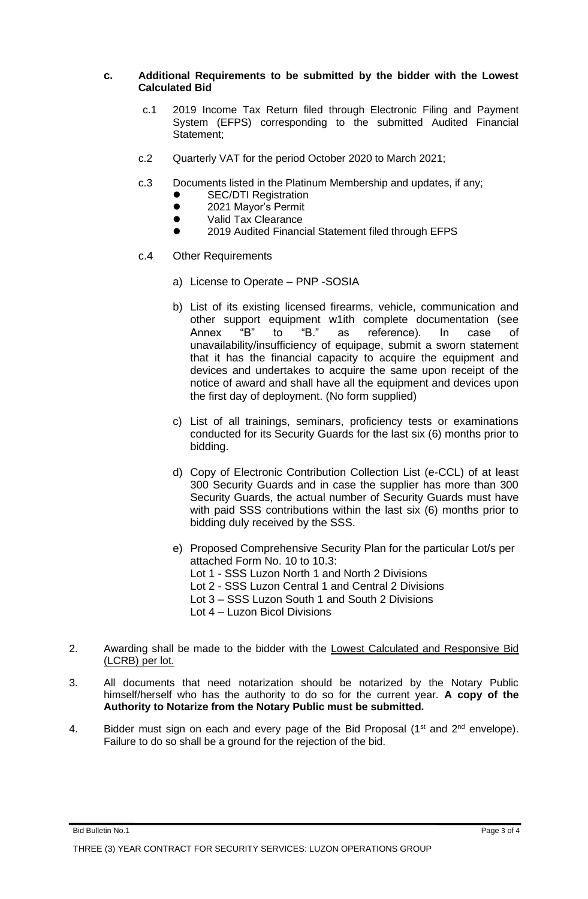### **c. Additional Requirements to be submitted by the bidder with the Lowest Calculated Bid**

- c.1 2019 Income Tax Return filed through Electronic Filing and Payment System (EFPS) corresponding to the submitted Audited Financial Statement;
- c.2 Quarterly VAT for the period October 2020 to March 2021;
- c.3 Documents listed in the Platinum Membership and updates, if any;
	- **SEC/DTI Registration**
	- 2021 Mayor's Permit
	- Valid Tax Clearance
	- ⚫ 2019 Audited Financial Statement filed through EFPS
- c.4 Other Requirements
	- a) License to Operate PNP -SOSIA
	- b) List of its existing licensed firearms, vehicle, communication and other support equipment w1ith complete documentation (see Annex "B" to "B." as reference). In case of unavailability/insufficiency of equipage, submit a sworn statement that it has the financial capacity to acquire the equipment and devices and undertakes to acquire the same upon receipt of the notice of award and shall have all the equipment and devices upon the first day of deployment. (No form supplied)
	- c) List of all trainings, seminars, proficiency tests or examinations conducted for its Security Guards for the last six (6) months prior to bidding.
	- d) Copy of Electronic Contribution Collection List (e-CCL) of at least 300 Security Guards and in case the supplier has more than 300 Security Guards, the actual number of Security Guards must have with paid SSS contributions within the last six (6) months prior to bidding duly received by the SSS.
	- e) Proposed Comprehensive Security Plan for the particular Lot/s per attached Form No. 10 to 10.3: Lot 1 - SSS Luzon North 1 and North 2 Divisions Lot 2 - SSS Luzon Central 1 and Central 2 Divisions Lot 3 – SSS Luzon South 1 and South 2 Divisions Lot 4 – Luzon Bicol Divisions
- 2. Awarding shall be made to the bidder with the Lowest Calculated and Responsive Bid (LCRB) per lot.
- 3. All documents that need notarization should be notarized by the Notary Public himself/herself who has the authority to do so for the current year. **A copy of the Authority to Notarize from the Notary Public must be submitted.**
- 4. Bidder must sign on each and every page of the Bid Proposal ( $1<sup>st</sup>$  and  $2<sup>nd</sup>$  envelope). Failure to do so shall be a ground for the rejection of the bid.

Bid Bulletin No.1 Page 3 of 4